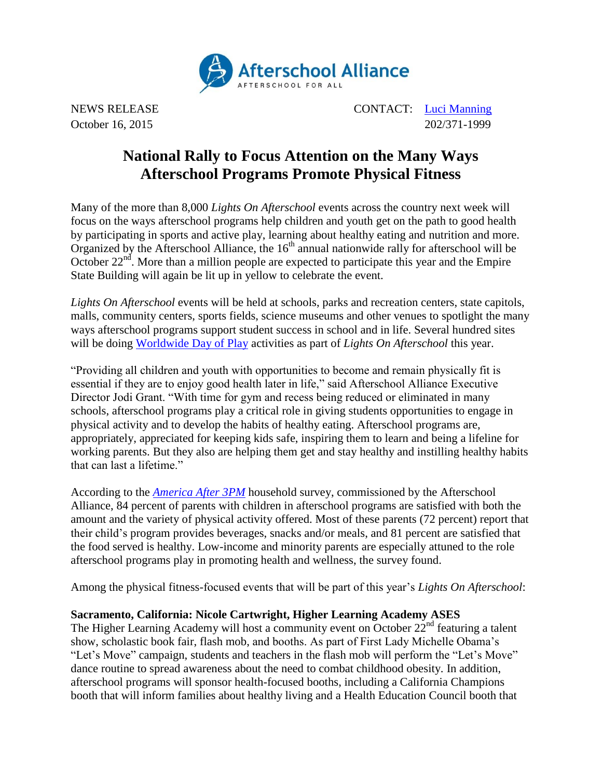

NEWS RELEASE CONTACT: [Luci Manning](mailto:luci@prsolutionsdc.com) October 16, 2015 202/371-1999

# **National Rally to Focus Attention on the Many Ways Afterschool Programs Promote Physical Fitness**

Many of the more than 8,000 *Lights On Afterschool* events across the country next week will focus on the ways afterschool programs help children and youth get on the path to good health by participating in sports and active play, learning about healthy eating and nutrition and more. Organized by the Afterschool Alliance, the  $16<sup>th</sup>$  annual nationwide rally for afterschool will be October  $22<sup>nd</sup>$ . More than a million people are expected to participate this year and the Empire State Building will again be lit up in yellow to celebrate the event.

*Lights On Afterschool* events will be held at schools, parks and recreation centers, state capitols, malls, community centers, sports fields, science museums and other venues to spotlight the many ways afterschool programs support student success in school and in life. Several hundred sites will be doing [Worldwide Day of Play](http://www.nick.com/worldwide-day-of-play/) activities as part of *Lights On Afterschool* this year.

"Providing all children and youth with opportunities to become and remain physically fit is essential if they are to enjoy good health later in life," said Afterschool Alliance Executive Director Jodi Grant. "With time for gym and recess being reduced or eliminated in many schools, afterschool programs play a critical role in giving students opportunities to engage in physical activity and to develop the habits of healthy eating. Afterschool programs are, appropriately, appreciated for keeping kids safe, inspiring them to learn and being a lifeline for working parents. But they also are helping them get and stay healthy and instilling healthy habits that can last a lifetime."

According to the *[America After 3PM](http://www.afterschoolalliance.org/AA3PM)* household survey, commissioned by the Afterschool Alliance, 84 percent of parents with children in afterschool programs are satisfied with both the amount and the variety of physical activity offered. Most of these parents (72 percent) report that their child's program provides beverages, snacks and/or meals, and 81 percent are satisfied that the food served is healthy. Low-income and minority parents are especially attuned to the role afterschool programs play in promoting health and wellness, the survey found.

Among the physical fitness-focused events that will be part of this year's *Lights On Afterschool*:

## **Sacramento, California: Nicole Cartwright, Higher Learning Academy ASES**

The Higher Learning Academy will host a community event on October  $22^{nd}$  featuring a talent show, scholastic book fair, flash mob, and booths. As part of First Lady Michelle Obama's "Let's Move" campaign, students and teachers in the flash mob will perform the "Let's Move" dance routine to spread awareness about the need to combat childhood obesity. In addition, afterschool programs will sponsor health-focused booths, including a California Champions booth that will inform families about healthy living and a Health Education Council booth that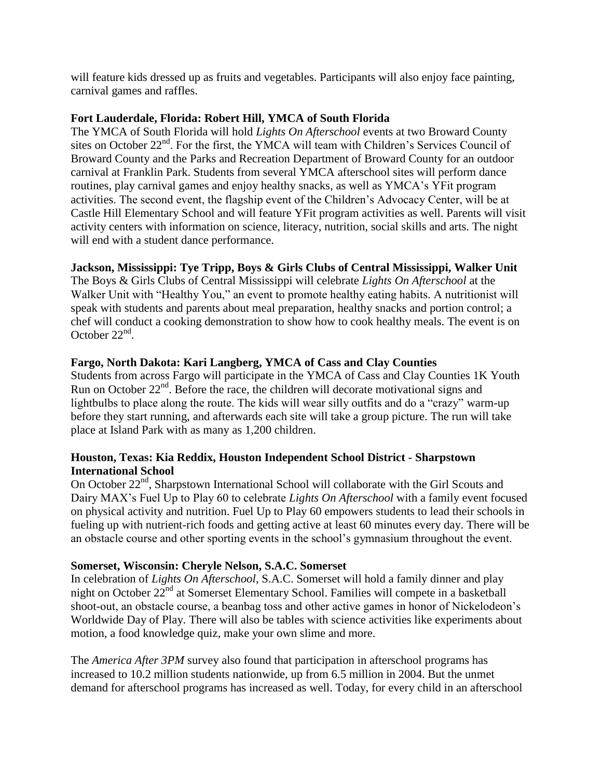will feature kids dressed up as fruits and vegetables. Participants will also enjoy face painting, carnival games and raffles.

## **Fort Lauderdale, Florida: Robert Hill, YMCA of South Florida**

The YMCA of South Florida will hold *Lights On Afterschool* events at two Broward County sites on October 22<sup>nd</sup>. For the first, the YMCA will team with Children's Services Council of Broward County and the Parks and Recreation Department of Broward County for an outdoor carnival at Franklin Park. Students from several YMCA afterschool sites will perform dance routines, play carnival games and enjoy healthy snacks, as well as YMCA's YFit program activities. The second event, the flagship event of the Children's Advocacy Center, will be at Castle Hill Elementary School and will feature YFit program activities as well. Parents will visit activity centers with information on science, literacy, nutrition, social skills and arts. The night will end with a student dance performance.

# **Jackson, Mississippi: Tye Tripp, Boys & Girls Clubs of Central Mississippi, Walker Unit**

The Boys & Girls Clubs of Central Mississippi will celebrate *Lights On Afterschool* at the Walker Unit with "Healthy You," an event to promote healthy eating habits. A nutritionist will speak with students and parents about meal preparation, healthy snacks and portion control; a chef will conduct a cooking demonstration to show how to cook healthy meals. The event is on October  $22<sup>nd</sup>$ .

## **Fargo, North Dakota: Kari Langberg, YMCA of Cass and Clay Counties**

Students from across Fargo will participate in the YMCA of Cass and Clay Counties 1K Youth Run on October  $22<sup>nd</sup>$ . Before the race, the children will decorate motivational signs and lightbulbs to place along the route. The kids will wear silly outfits and do a "crazy" warm-up before they start running, and afterwards each site will take a group picture. The run will take place at Island Park with as many as 1,200 children.

## **Houston, Texas: Kia Reddix, Houston Independent School District - Sharpstown International School**

On October 22<sup>nd</sup>, Sharpstown International School will collaborate with the Girl Scouts and Dairy MAX's Fuel Up to Play 60 to celebrate *Lights On Afterschool* with a family event focused on physical activity and nutrition. Fuel Up to Play 60 empowers students to lead their schools in fueling up with nutrient-rich foods and getting active at least 60 minutes every day. There will be an obstacle course and other sporting events in the school's gymnasium throughout the event.

#### **Somerset, Wisconsin: Cheryle Nelson, S.A.C. Somerset**

In celebration of *Lights On Afterschool*, S.A.C. Somerset will hold a family dinner and play night on October 22<sup>nd</sup> at Somerset Elementary School. Families will compete in a basketball shoot-out, an obstacle course, a beanbag toss and other active games in honor of Nickelodeon's Worldwide Day of Play. There will also be tables with science activities like experiments about motion, a food knowledge quiz, make your own slime and more.

The *America After 3PM* survey also found that participation in afterschool programs has increased to 10.2 million students nationwide, up from 6.5 million in 2004. But the unmet demand for afterschool programs has increased as well. Today, for every child in an afterschool